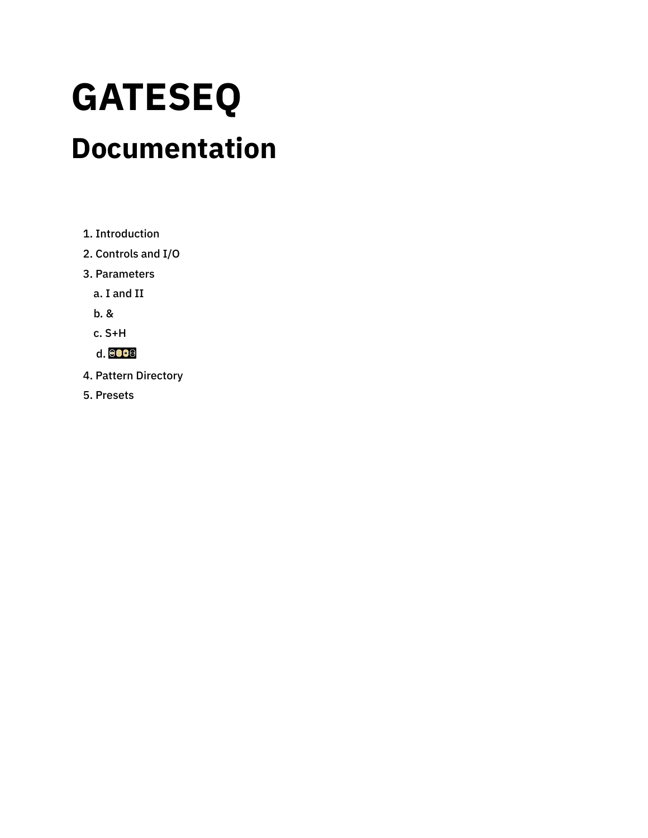# **GATESEQ**

## **Documentation**

- 1. [Introduction](#page-1-0)
- 2. [Controls](#page-2-0) and I/O
- 3. [Parameters](#page-4-0)
	- a. I [and](#page-4-1) II
	- [b.](#page-7-0) &
	- c. [S+H](#page-8-0)
	- [d.](#page-8-1)
- 4. Pattern [Directory](#page-10-0)
- 5. [Presets](#page-18-0)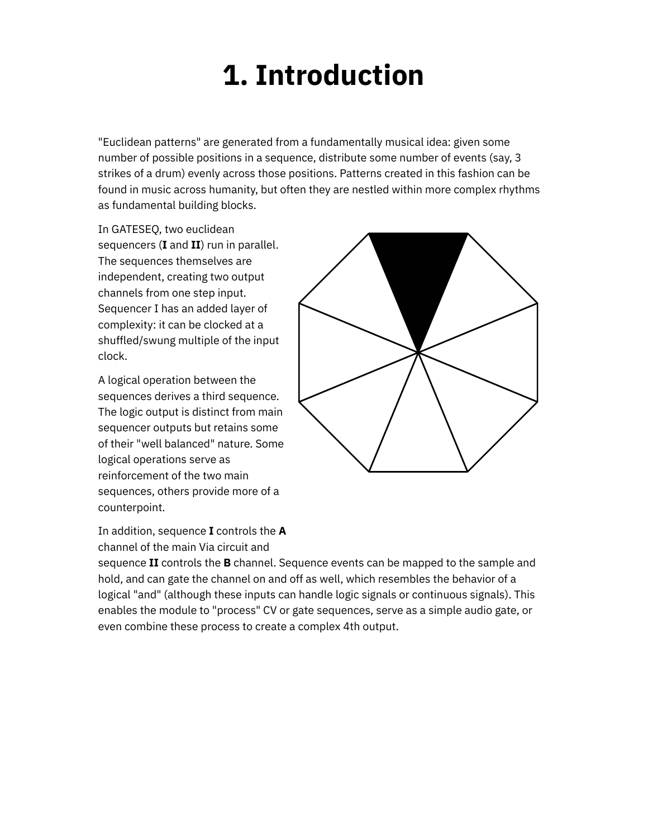## **1. Introduction**

<span id="page-1-0"></span>"Euclidean patterns" are generated from a fundamentally musical idea: given some number of possible positions in a sequence, distribute some number of events (say, 3 strikes of a drum) evenly across those positions. Patterns created in this fashion can be found in music across humanity, but often they are nestled within more complex rhythms as fundamental building blocks.

In GATESEQ, two euclidean sequencers (**I** and **II**) run in parallel. The sequences themselves are independent, creating two output channels from one step input. Sequencer I has an added layer of complexity: it can be clocked at a shuffled/swung multiple of the input clock.

A logical operation between the sequences derives a third sequence. The logic output is distinct from main sequencer outputs but retains some of their "well balanced" nature. Some logical operations serve as reinforcement of the two main sequences, others provide more of a counterpoint.



In addition, sequence **I** controls the **A** channel of the main Via circuit and

sequence **II** controls the **B** channel. Sequence events can be mapped to the sample and hold, and can gate the channel on and off as well, which resembles the behavior of a logical "and" (although these inputs can handle logic signals or continuous signals). This enables the module to "process" CV or gate sequences, serve as a simple audio gate, or even combine these process to create a complex 4th output.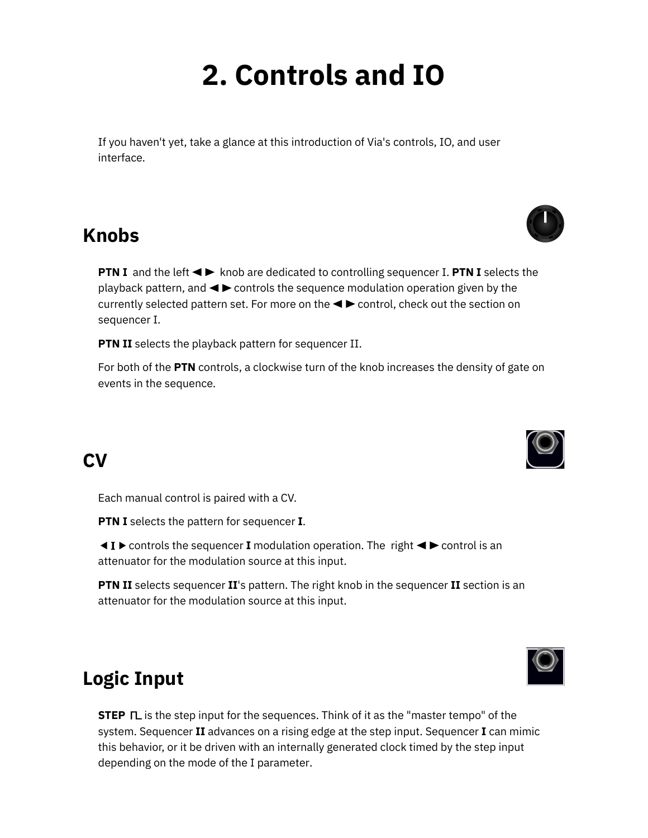## **2. Controls and IO**

<span id="page-2-0"></span>If you haven't yet, take a glance at this [introduction](https://starling.space/via/platform-info) of Via's controls, IO, and user interface.

#### **Knobs**

**PTN I** and the left  $\blacktriangleleft\blacktriangleright$  knob are dedicated to controlling sequencer I. **PTN I** selects the playback pattern, and  $\blacktriangleleft\blacktriangleright$  controls the sequence modulation operation given by the currently selected pattern set. For more on the  $\blacktriangleleft\blacktriangleright$  control, check out the section on [sequencer](#page-4-1) I.

**PTN II** selects the playback pattern for [sequencer](#page-4-1) II.

For both of the **PTN** controls, a clockwise turn of the knob increases the density of gate on events in the sequence.

### **CV**

Each manual control is paired with a CV.

**PTN I** selects the pattern for sequencer **I**.

 $\triangle$  **I**  $\triangleright$  controls the sequencer **I** modulation operation. The right  $\triangle$   $\triangleright$  control is an attenuator for the modulation source at this input.

**PTN II** selects sequencer **II**'s pattern. The right knob in the sequencer **II** section is an attenuator for the modulation source at this input.

### **Logic Input**

**STEP**  $\Box$  is the step input for the sequences. Think of it as the "master tempo" of the system. Sequencer **II** advances on a rising edge at the step input. Sequencer **I** can mimic this behavior, or it be driven with an internally generated clock timed by the step input depending on the mode of the I [parameter](#page-4-1).





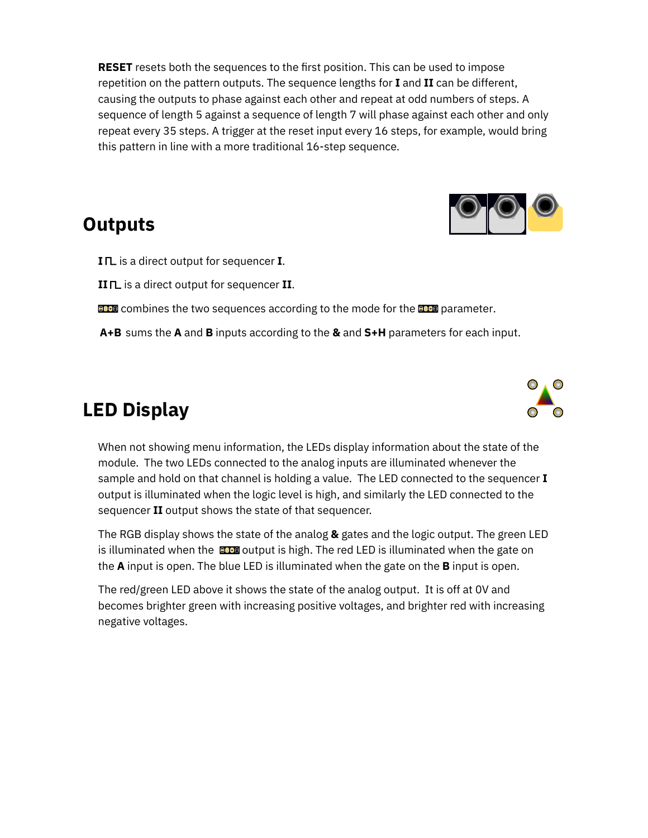**RESET** resets both the sequences to the first position. This can be used to impose repetition on the pattern outputs. The sequence lengths for **I** and **II** can be different, causing the outputs to phase against each other and repeat at odd numbers of steps. A sequence of length 5 against a sequence of length 7 will phase against each other and only repeat every 35 steps. A trigger at the reset input every 16 steps, for example, would bring this pattern in line with a more traditional 16-step sequence.

#### **Outputs**



**I** is a direct output for sequencer **I**.

**II** is a direct output for sequencer **II**.

- **CLE** combines the two sequences according to the mode for the **CLE** [parameter](#page-8-1).
- **A+B** sums the **A** and **B** inputs according to the **[&](#page-7-0)** and **[S+H](#page-8-0)** parameters for each input.

### **LED Display**

When not showing menu information, the LEDs display information about the state of the module. The two LEDs connected to the analog inputs are illuminated whenever the sample and hold on that channel is holding a value. The LED connected to the sequencer **I** output is illuminated when the logic level is high, and similarly the LED connected to the sequencer **II** output shows the state of that sequencer.

The RGB display shows the state of the analog **&** gates and the logic output. The green LED is illuminated when the  $\Box$  output is high. The red LED is illuminated when the gate on the **A** input is open. The blue LED is illuminated when the gate on the **B** input is open.

The red/green LED above it shows the state of the analog output. It is off at 0V and becomes brighter green with increasing positive voltages, and brighter red with increasing negative voltages.

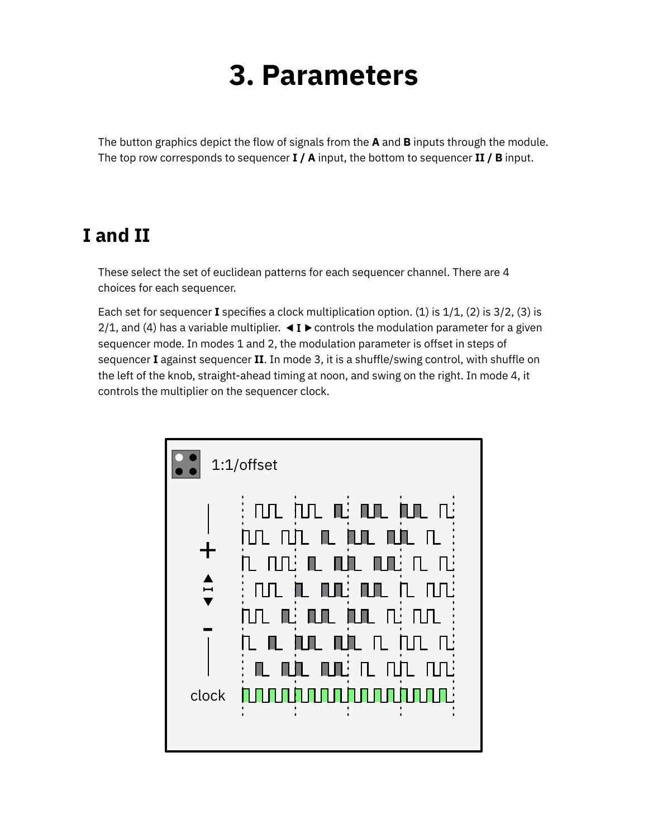## **3. Parameters**

<span id="page-4-0"></span>The button graphics depict the flow of signals from the **A** and **B** inputs through the module. The top row corresponds to sequencer **I / A** input, the bottom to sequencer **II / B** input.

#### <span id="page-4-1"></span>**I and II**

These select the set of euclidean patterns for each sequencer channel. There are 4 choices for each sequencer.

Each set for sequencer **I** specifies a clock multiplication option. (1) is  $1/1$ , (2) is  $3/2$ , (3) is 2/1, and (4) has a variable multiplier.  $\triangleleft I \triangleright$  controls the modulation parameter for a given sequencer mode. In modes 1 and 2, the modulation parameter is offset in steps of sequencer **I** against sequencer **II**. In mode 3, it is a shuffle/swing control, with shuffle on the left of the knob, straight-ahead timing at noon, and swing on the right. In mode 4, it controls the multiplier on the sequencer clock.

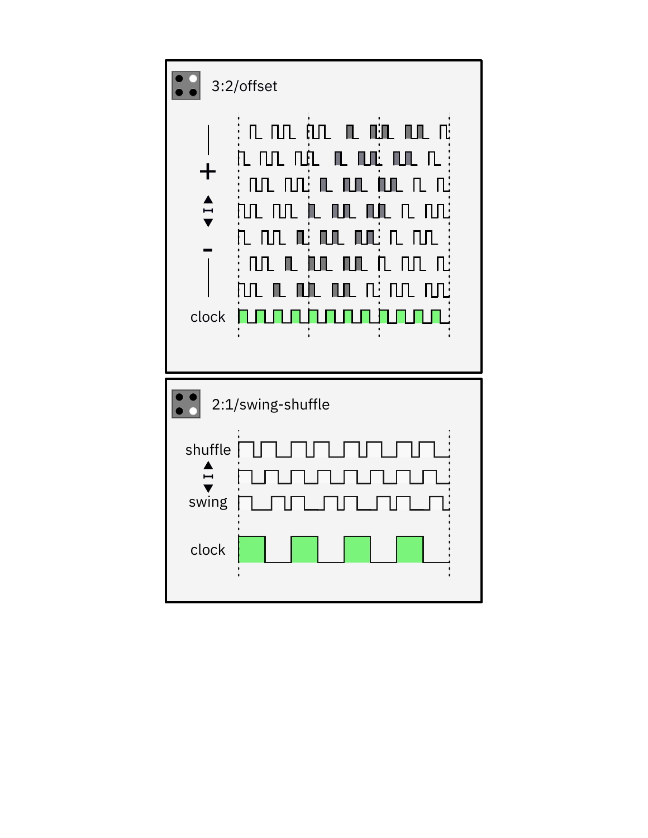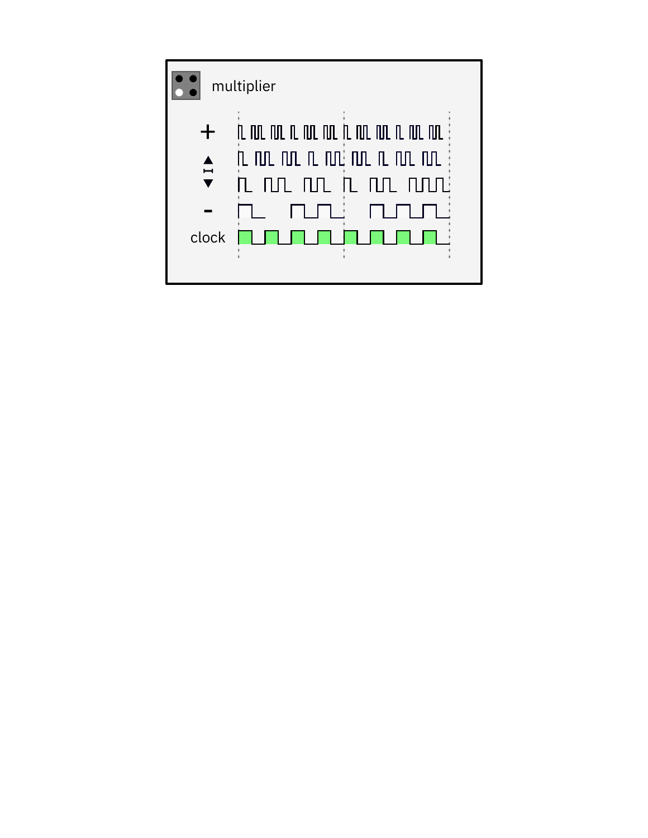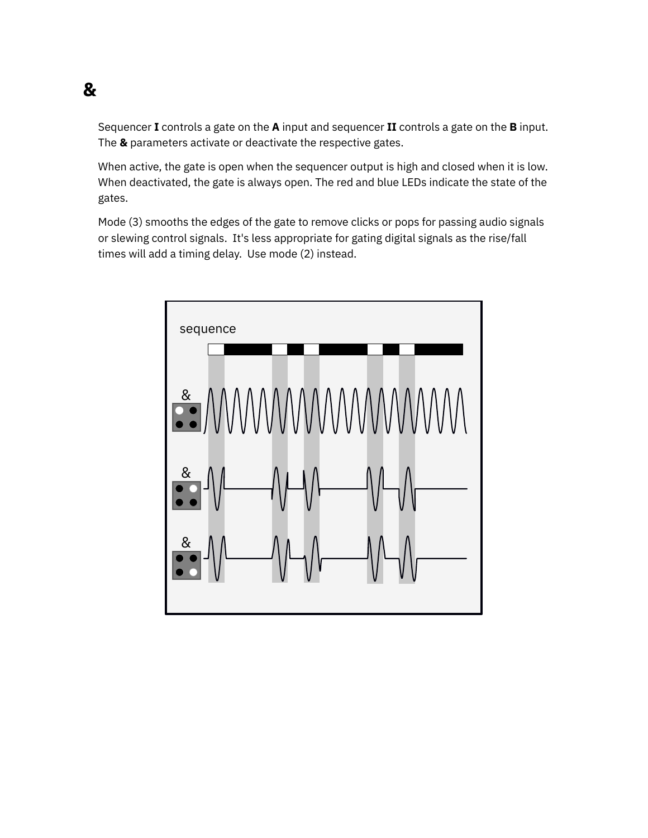### <span id="page-7-0"></span>**&**

Sequencer **I** controls a gate on the **A** input and sequencer **II** controls a gate on the **B** input. The **&** parameters activate or deactivate the respective gates.

When active, the gate is open when the sequencer output is high and closed when it is low. When deactivated, the gate is always open. The red and blue LEDs indicate the state of the gates.

Mode (3) smooths the edges of the gate to remove clicks or pops for passing audio signals or slewing control signals. It's less appropriate for gating digital signals as the rise/fall times will add a timing delay. Use mode (2) instead.

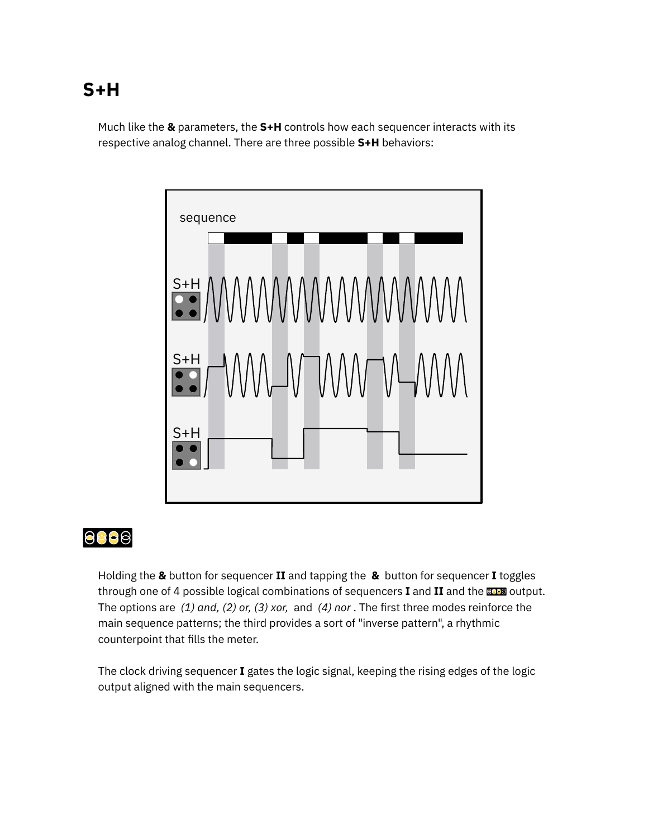### <span id="page-8-0"></span>**S+H**

Much like the **&** parameters, the **S+H** controls how each sequencer interacts with its respective analog channel. There are three possible **S+H** behaviors:



<span id="page-8-1"></span>

Holding the **&** button for sequencer **II** and tapping the **&** button for sequencer **I** toggles through one of 4 possible logical combinations of sequencers **I** and **II** and the **CCC** output. The options are (1) and, (2) or, (3) xor, and (4) nor. The first three modes reinforce the main sequence patterns; the third provides a sort of "inverse pattern", a rhythmic counterpoint that fills the meter.

The clock driving sequencer **I** gates the logic signal, keeping the rising edges of the logic output aligned with the main sequencers.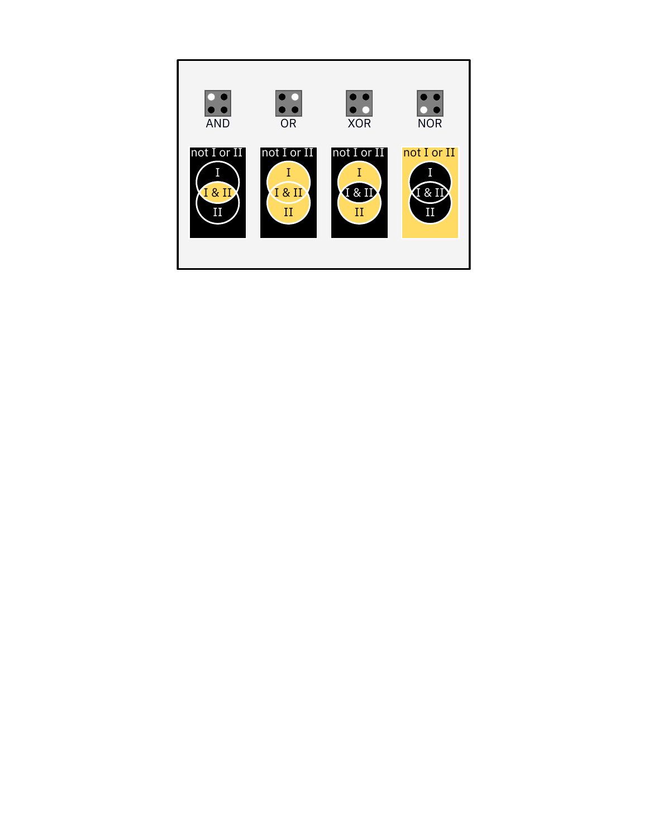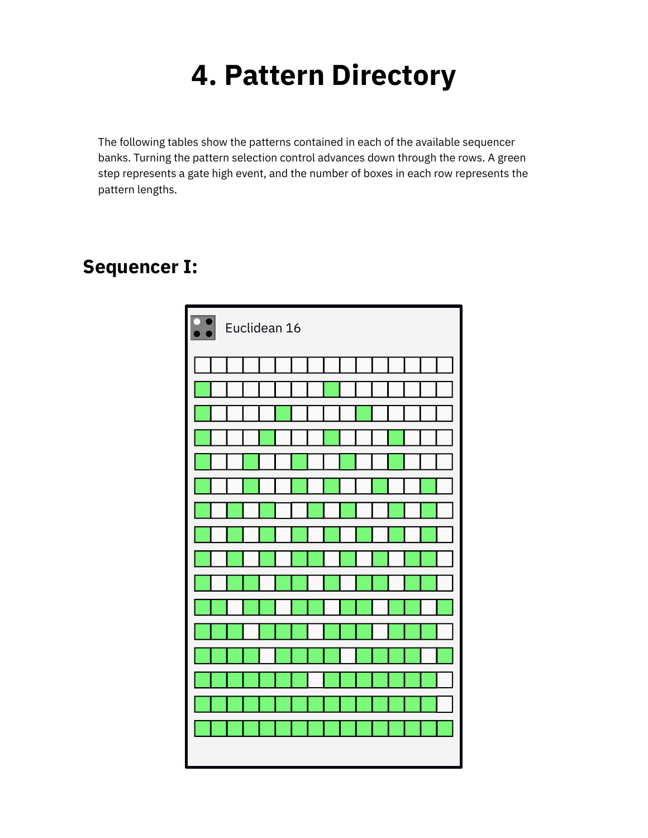## **4. Pattern Directory**

<span id="page-10-0"></span>The following tables show the patterns contained in each of the available sequencer banks. Turning the pattern selection control advances down through the rows. A green step represents a gate high event, and the number of boxes in each row represents the pattern lengths.

#### **Sequencer I:**

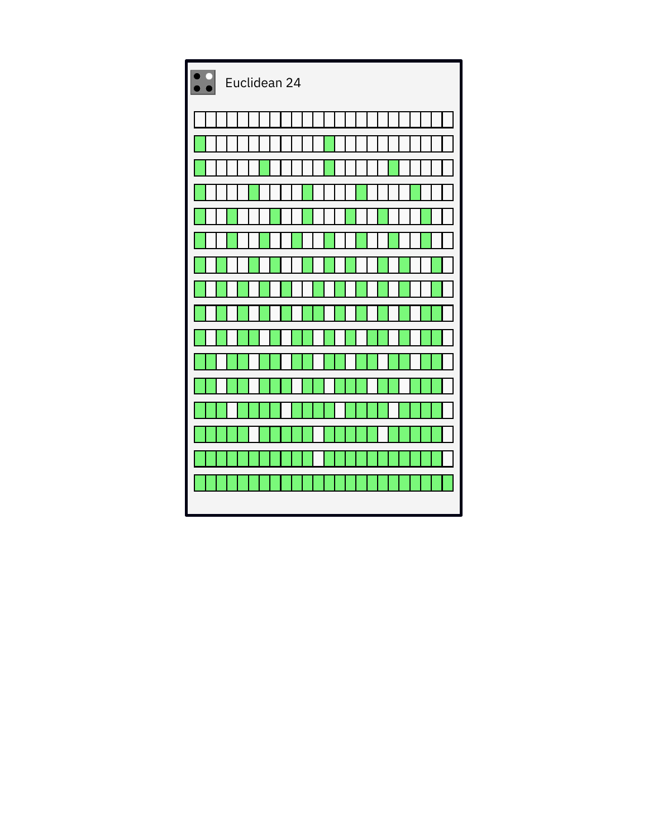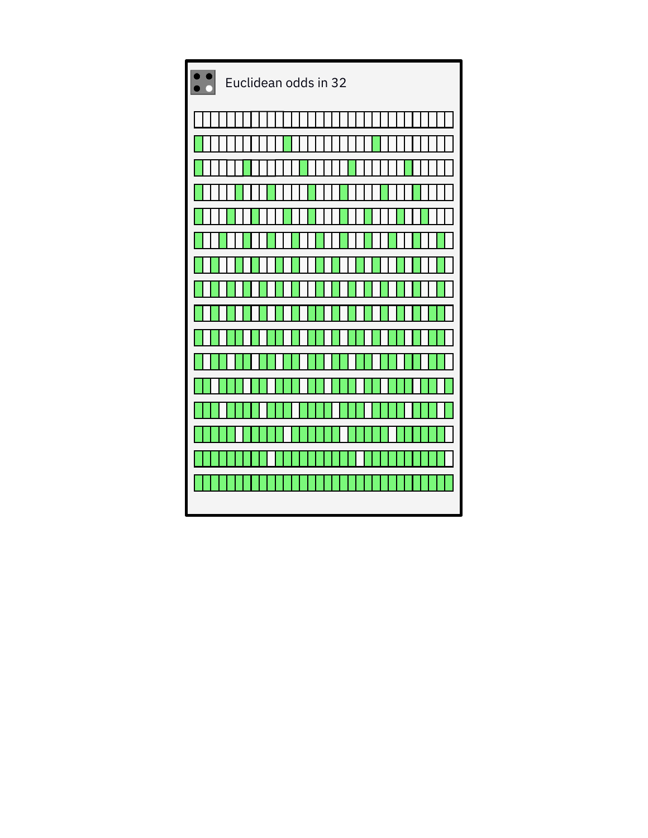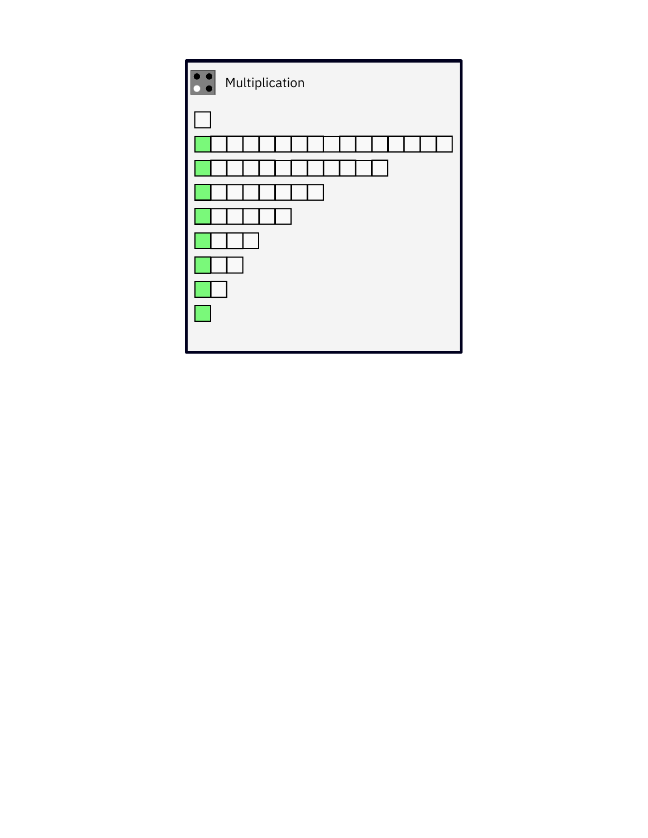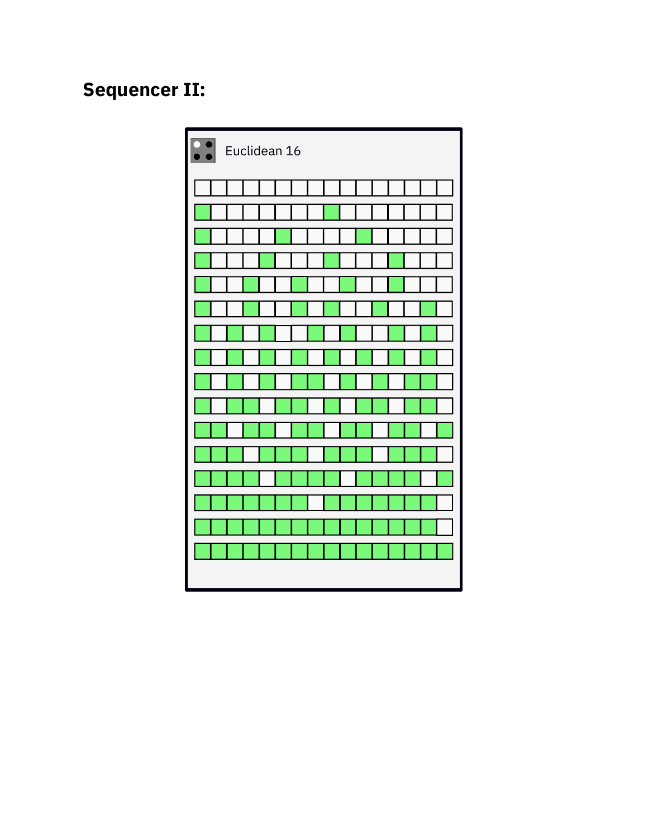### **Sequencer II:**

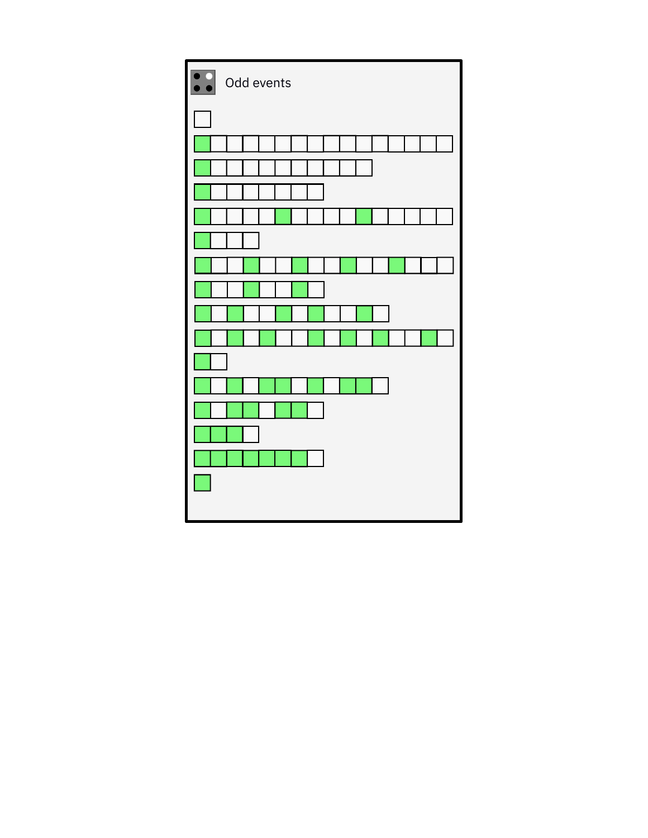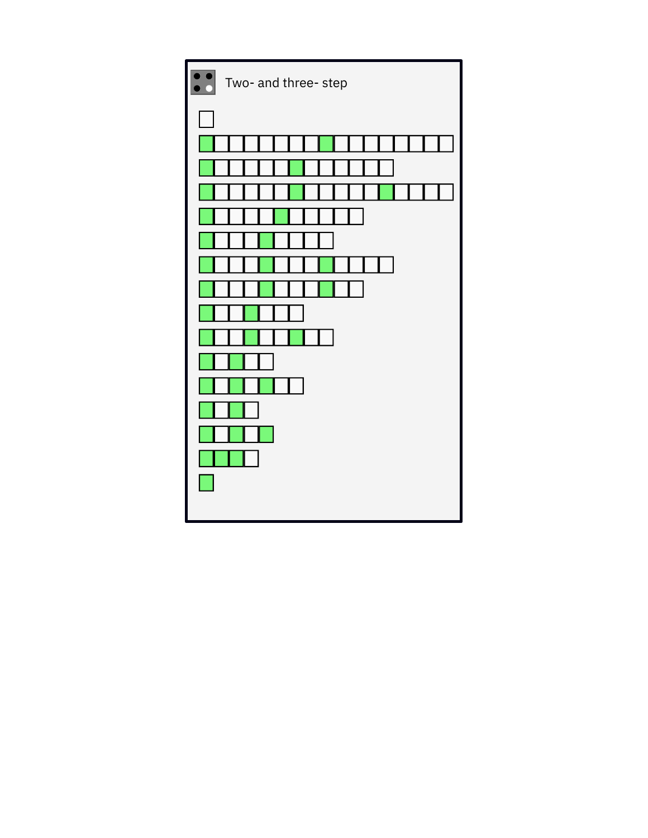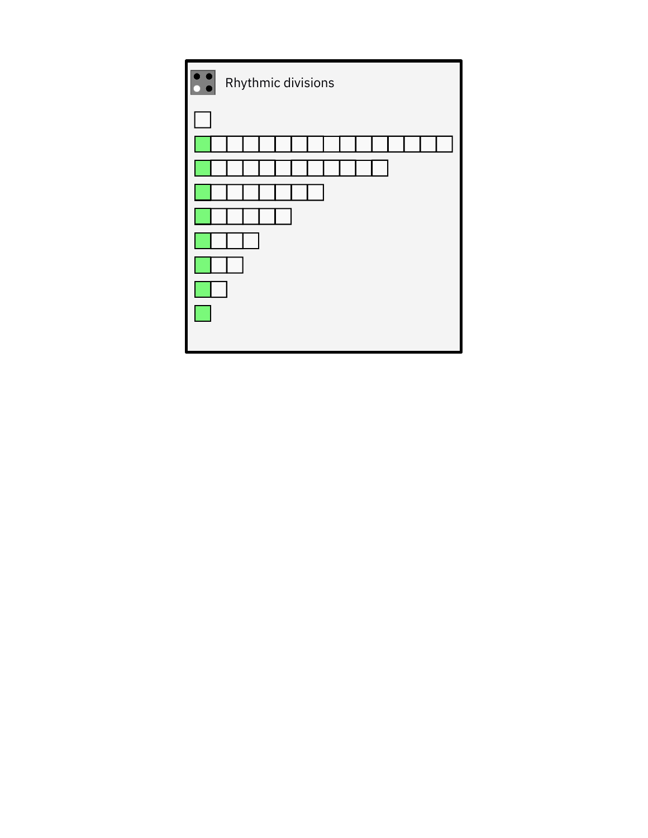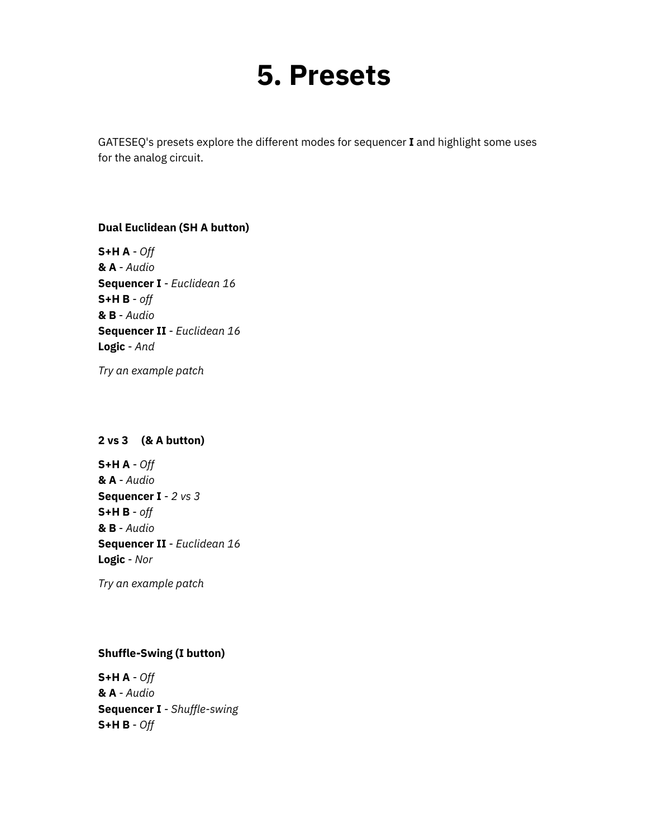## **5. Presets**

<span id="page-18-0"></span>GATESEQ's presets explore the different modes for sequencer **I** and highlight some uses for the analog circuit.

#### **Dual Euclidean (SH A button)**

**S+H A** - *Off* **& A** - *Audio* **Sequencer I** - *Euclidean 16* **S+H B** - *off* **& B** - *Audio* **Sequencer II** - *Euclidean 16* **Logic** - *And*

*Try an [example](https://starling.space/via/gateseq/patch-examples#preset-1) patch*

#### **2 vs 3 (& A button)**

**S+H A** - *Off* **& A** - *Audio* **Sequencer I** - *2 vs 3* **S+H B** - *off* **& B** - *Audio* **Sequencer II** - *Euclidean 16* **Logic** - *Nor*

*Try an [example](https://starling.space/via/gateseq/patch-examples#preset-2) patch*

#### **Shuffle-Swing (I button)**

**S+H A** - *Off* **& A** - *Audio* **Sequencer I** - *Shuffle-swing* **S+H B** - *Off*